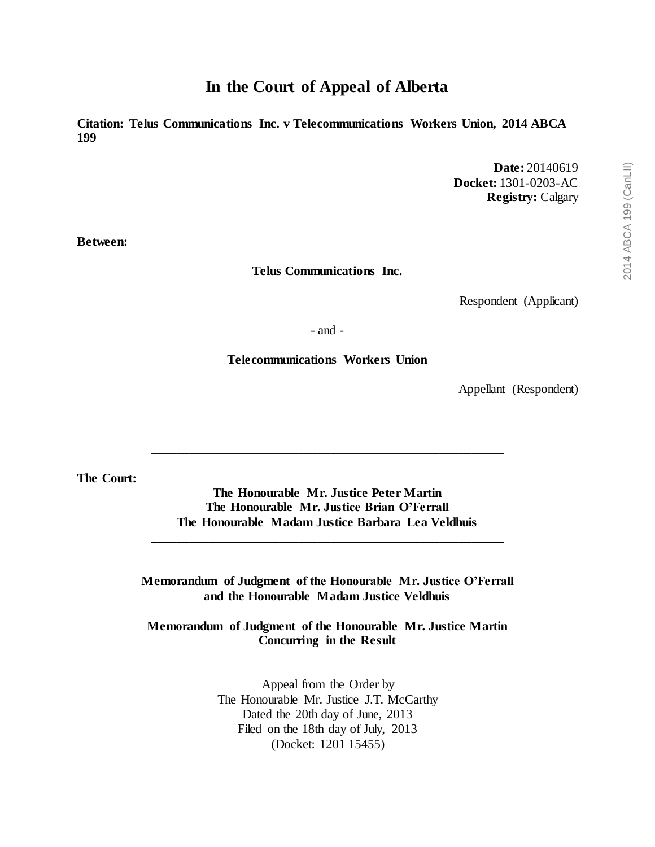# **In the Court of Appeal of Alberta**

**Citation: Telus Communications Inc. v Telecommunications Workers Union, 2014 ABCA 199**

> **Date:** 20140619 **Docket:** 1301-0203-AC **Registry:** Calgary

**Between:**

**Telus Communications Inc.**

Respondent (Applicant)

- and -

**Telecommunications Workers Union**

Appellant (Respondent)

**The Court:**

**The Honourable Mr. Justice Peter Martin The Honourable Mr. Justice Brian O'Ferrall The Honourable Madam Justice Barbara Lea Veldhuis**

**\_\_\_\_\_\_\_\_\_\_\_\_\_\_\_\_\_\_\_\_\_\_\_\_\_\_\_\_\_\_\_\_\_\_\_\_\_\_\_\_\_\_\_\_\_\_\_\_\_\_\_\_\_\_\_**

\_\_\_\_\_\_\_\_\_\_\_\_\_\_\_\_\_\_\_\_\_\_\_\_\_\_\_\_\_\_\_\_\_\_\_\_\_\_\_\_\_\_\_\_\_\_\_\_\_\_\_\_\_\_\_

**Memorandum of Judgment of the Honourable Mr. Justice O'Ferrall and the Honourable Madam Justice Veldhuis**

**Memorandum of Judgment of the Honourable Mr. Justice Martin Concurring in the Result** 

> Appeal from the Order by The Honourable Mr. Justice J.T. McCarthy Dated the 20th day of June, 2013 Filed on the 18th day of July, 2013 (Docket: 1201 15455)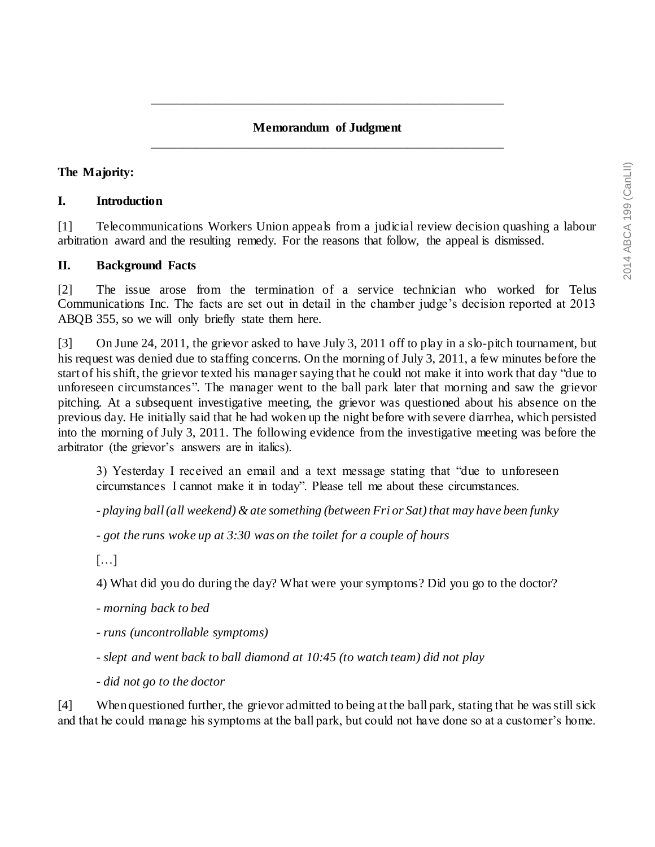## **Memorandum of Judgment** \_\_\_\_\_\_\_\_\_\_\_\_\_\_\_\_\_\_\_\_\_\_\_\_\_\_\_\_\_\_\_\_\_\_\_\_\_\_\_\_\_\_\_\_\_\_\_\_\_\_\_\_\_\_\_

\_\_\_\_\_\_\_\_\_\_\_\_\_\_\_\_\_\_\_\_\_\_\_\_\_\_\_\_\_\_\_\_\_\_\_\_\_\_\_\_\_\_\_\_\_\_\_\_\_\_\_\_\_\_\_

### **The Majority:**

#### **I. Introduction**

[1] Telecommunications Workers Union appeals from a judicial review decision quashing a labour arbitration award and the resulting remedy. For the reasons that follow, the appeal is dismissed.

#### **II. Background Facts**

[2] The issue arose from the termination of a service technician who worked for Telus Communications Inc. The facts are set out in detail in the chamber judge's decision reported at 2013 ABQB 355, so we will only briefly state them here.

[3] On June 24, 2011, the grievor asked to have July 3, 2011 off to play in a slo-pitch tournament, but his request was denied due to staffing concerns. On the morning of July 3, 2011, a few minutes before the start of his shift, the grievor texted his manager saying that he could not make it into work that day "due to unforeseen circumstances". The manager went to the ball park later that morning and saw the grievor pitching. At a subsequent investigative meeting, the grievor was questioned about his absence on the previous day. He initially said that he had woken up the night before with severe diarrhea, which persisted into the morning of July 3, 2011. The following evidence from the investigative meeting was before the arbitrator (the grievor's answers are in italics).

3) Yesterday I received an email and a text message stating that "due to unforeseen circumstances I cannot make it in today". Please tell me about these circumstances.

*- playing ball (all weekend) & ate something (between Fri or Sat) that may have been funky*

*- got the runs woke up at 3:30 was on the toilet for a couple of hours*

[…]

4) What did you do during the day? What were your symptoms? Did you go to the doctor?

*- morning back to bed*

*- runs (uncontrollable symptoms)*

*- slept and went back to ball diamond at 10:45 (to watch team) did not play* 

*- did not go to the doctor*

[4] When questioned further, the grievor admitted to being at the ball park, stating that he was still sick and that he could manage his symptoms at the ball park, but could not have done so at a customer's home.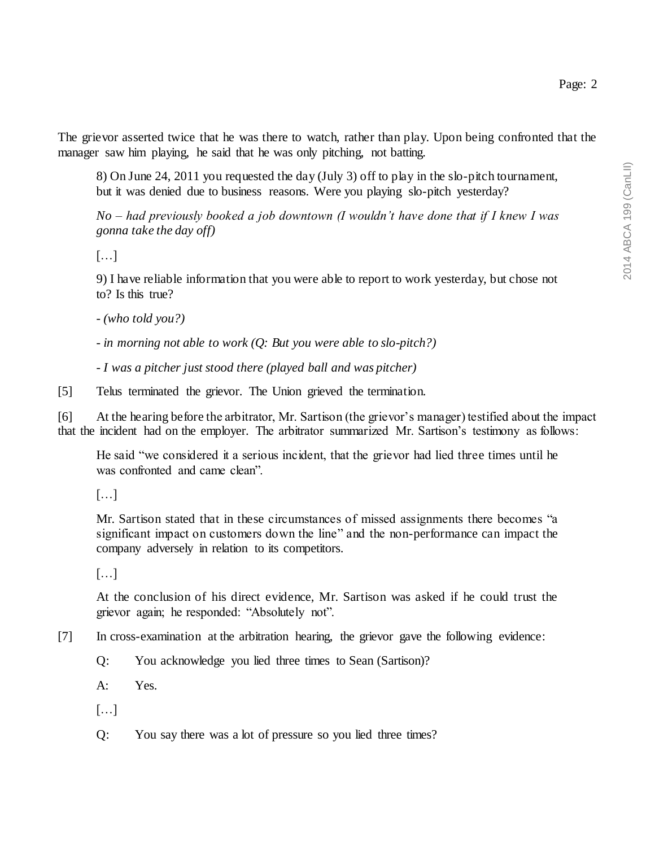The grievor asserted twice that he was there to watch, rather than play. Upon being confronted that the manager saw him playing, he said that he was only pitching, not batting.

8) On June 24, 2011 you requested the day (July 3) off to play in the slo-pitch tournament, but it was denied due to business reasons. Were you playing slo-pitch yesterday?

*No – had previously booked a job downtown (I wouldn't have done that if I knew I was gonna take the day off)*

[…]

9) I have reliable information that you were able to report to work yesterday, but chose not to? Is this true?

*- (who told you?)*

*- in morning not able to work (Q: But you were able to slo-pitch?)*

*- I was a pitcher just stood there (played ball and was pitcher)*

[5] Telus terminated the grievor. The Union grieved the termination.

[6] At the hearing before the arbitrator, Mr. Sartison (the grievor's manager) testified about the impact that the incident had on the employer. The arbitrator summarized Mr. Sartison's testimony as follows:

He said "we considered it a serious incident, that the grievor had lied three times until he was confronted and came clean".

[…]

Mr. Sartison stated that in these circumstances of missed assignments there becomes "a significant impact on customers down the line" and the non-performance can impact the company adversely in relation to its competitors.

[…]

At the conclusion of his direct evidence, Mr. Sartison was asked if he could trust the grievor again; he responded: "Absolutely not".

- [7] In cross-examination at the arbitration hearing, the grievor gave the following evidence:
	- Q: You acknowledge you lied three times to Sean (Sartison)?
	- A: Yes.
	- […]
	- Q: You say there was a lot of pressure so you lied three times?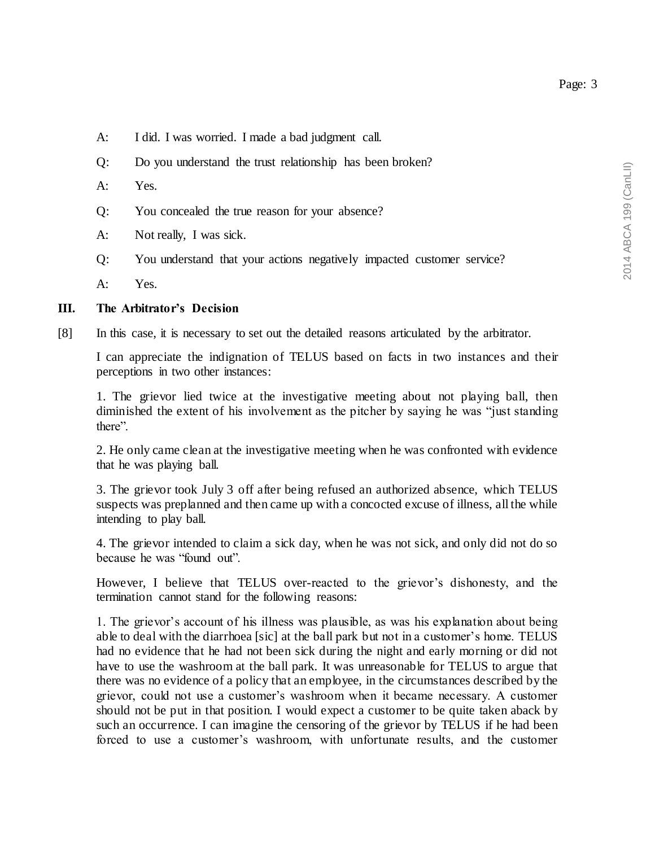Page: 3

- A: I did. I was worried. I made a bad judgment call.
- Q: Do you understand the trust relationship has been broken?
- A: Yes.
- Q: You concealed the true reason for your absence?
- A: Not really, I was sick.
- Q: You understand that your actions negatively impacted customer service?

A: Yes.

### **III. The Arbitrator's Decision**

[8] In this case, it is necessary to set out the detailed reasons articulated by the arbitrator.

I can appreciate the indignation of TELUS based on facts in two instances and their perceptions in two other instances:

1. The grievor lied twice at the investigative meeting about not playing ball, then diminished the extent of his involvement as the pitcher by saying he was "just standing there".

2. He only came clean at the investigative meeting when he was confronted with evidence that he was playing ball.

3. The grievor took July 3 off after being refused an authorized absence, which TELUS suspects was preplanned and then came up with a concocted excuse of illness, all the while intending to play ball.

4. The grievor intended to claim a sick day, when he was not sick, and only did not do so because he was "found out".

However, I believe that TELUS over-reacted to the grievor's dishonesty, and the termination cannot stand for the following reasons:

1. The grievor's account of his illness was plausible, as was his explanation about being able to deal with the diarrhoea [sic] at the ball park but not in a customer's home. TELUS had no evidence that he had not been sick during the night and early morning or did not have to use the washroom at the ball park. It was unreasonable for TELUS to argue that there was no evidence of a policy that an employee, in the circumstances described by the grievor, could not use a customer's washroom when it became necessary. A customer should not be put in that position. I would expect a customer to be quite taken aback by such an occurrence. I can imagine the censoring of the grievor by TELUS if he had been forced to use a customer's washroom, with unfortunate results, and the customer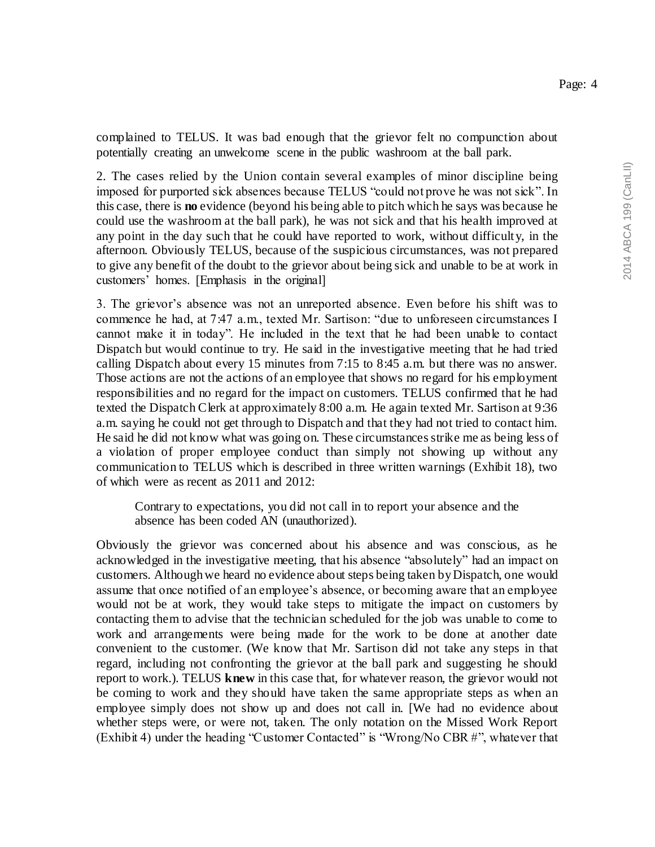complained to TELUS. It was bad enough that the grievor felt no compunction about potentially creating an unwelcome scene in the public washroom at the ball park.

2. The cases relied by the Union contain several examples of minor discipline being imposed for purported sick absences because TELUS "could not prove he was not sick". In this case, there is **no** evidence (beyond his being able to pitch which he says was because he could use the washroom at the ball park), he was not sick and that his health improved at any point in the day such that he could have reported to work, without difficulty, in the afternoon. Obviously TELUS, because of the suspicious circumstances, was not prepared to give any benefit of the doubt to the grievor about being sick and unable to be at work in customers' homes. [Emphasis in the original]

3. The grievor's absence was not an unreported absence. Even before his shift was to commence he had, at 7:47 a.m., texted Mr. Sartison: "due to unforeseen circumstances I cannot make it in today". He included in the text that he had been unable to contact Dispatch but would continue to try. He said in the investigative meeting that he had tried calling Dispatch about every 15 minutes from 7:15 to 8:45 a.m. but there was no answer. Those actions are not the actions of an employee that shows no regard for his employment responsibilities and no regard for the impact on customers. TELUS confirmed that he had texted the Dispatch Clerk at approximately 8:00 a.m. He again texted Mr. Sartison at 9:36 a.m. saying he could not get through to Dispatch and that they had not tried to contact him. He said he did not know what was going on. These circumstances strike me as being less of a violation of proper employee conduct than simply not showing up without any communication to TELUS which is described in three written warnings (Exhibit 18), two of which were as recent as 2011 and 2012:

Contrary to expectations, you did not call in to report your absence and the absence has been coded AN (unauthorized).

Obviously the grievor was concerned about his absence and was conscious, as he acknowledged in the investigative meeting, that his absence "absolutely" had an impact on customers. Although we heard no evidence about steps being taken by Dispatch, one would assume that once notified of an employee's absence, or becoming aware that an employee would not be at work, they would take steps to mitigate the impact on customers by contacting them to advise that the technician scheduled for the job was unable to come to work and arrangements were being made for the work to be done at another date convenient to the customer. (We know that Mr. Sartison did not take any steps in that regard, including not confronting the grievor at the ball park and suggesting he should report to work.). TELUS **knew** in this case that, for whatever reason, the grievor would not be coming to work and they should have taken the same appropriate steps as when an employee simply does not show up and does not call in. [We had no evidence about whether steps were, or were not, taken. The only notation on the Missed Work Report (Exhibit 4) under the heading "Customer Contacted" is "Wrong/No CBR #", whatever that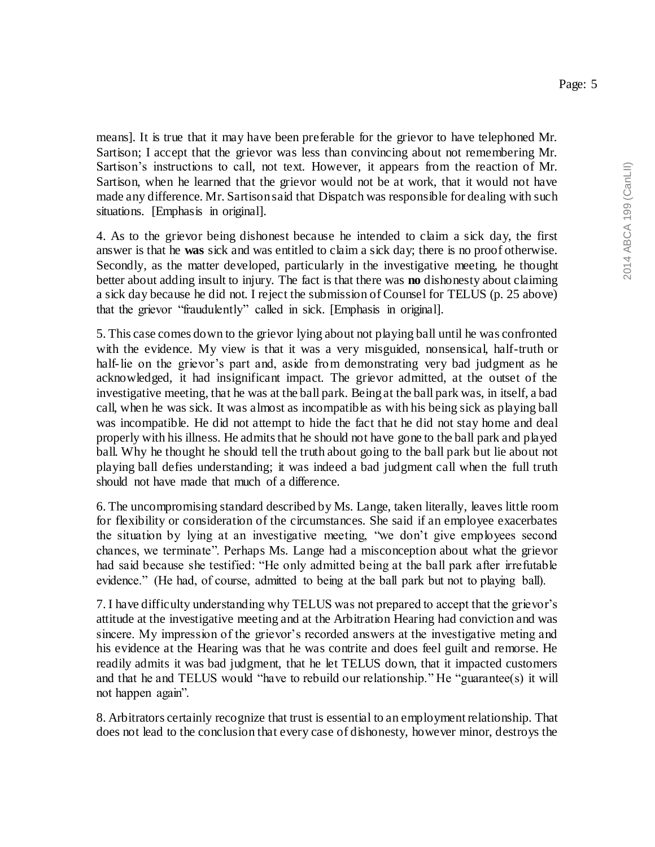means]. It is true that it may have been preferable for the grievor to have telephoned Mr. Sartison; I accept that the grievor was less than convincing about not remembering Mr. Sartison's instructions to call, not text. However, it appears from the reaction of Mr. Sartison, when he learned that the grievor would not be at work, that it would not have made any difference. Mr. Sartison said that Dispatch was responsible for dealing with such situations. [Emphasis in original].

4. As to the grievor being dishonest because he intended to claim a sick day, the first answer is that he **was** sick and was entitled to claim a sick day; there is no proof otherwise. Secondly, as the matter developed, particularly in the investigative meeting, he thought better about adding insult to injury. The fact is that there was **no** dishonesty about claiming a sick day because he did not. I reject the submission of Counsel for TELUS (p. 25 above) that the grievor "fraudulently" called in sick. [Emphasis in original].

5. This case comes down to the grievor lying about not playing ball until he was confronted with the evidence. My view is that it was a very misguided, nonsensical, half-truth or half-lie on the grievor's part and, aside from demonstrating very bad judgment as he acknowledged, it had insignificant impact. The grievor admitted, at the outset of the investigative meeting, that he was at the ball park. Being at the ball park was, in itself, a bad call, when he was sick. It was almost as incompatible as with his being sick as playing ball was incompatible. He did not attempt to hide the fact that he did not stay home and deal properly with his illness. He admits that he should not have gone to the ball park and played ball. Why he thought he should tell the truth about going to the ball park but lie about not playing ball defies understanding; it was indeed a bad judgment call when the full truth should not have made that much of a difference.

6. The uncompromising standard described by Ms. Lange, taken literally, leaves little room for flexibility or consideration of the circumstances. She said if an employee exacerbates the situation by lying at an investigative meeting, "we don't give employees second chances, we terminate". Perhaps Ms. Lange had a misconception about what the grievor had said because she testified: "He only admitted being at the ball park after irrefutable evidence." (He had, of course, admitted to being at the ball park but not to playing ball).

7. I have difficulty understanding why TELUS was not prepared to accept that the grievor's attitude at the investigative meeting and at the Arbitration Hearing had conviction and was sincere. My impression of the grievor's recorded answers at the investigative meting and his evidence at the Hearing was that he was contrite and does feel guilt and remorse. He readily admits it was bad judgment, that he let TELUS down, that it impacted customers and that he and TELUS would "have to rebuild our relationship." He "guarantee(s) it will not happen again".

8. Arbitrators certainly recognize that trust is essential to an employment relationship. That does not lead to the conclusion that every case of dishonesty, however minor, destroys the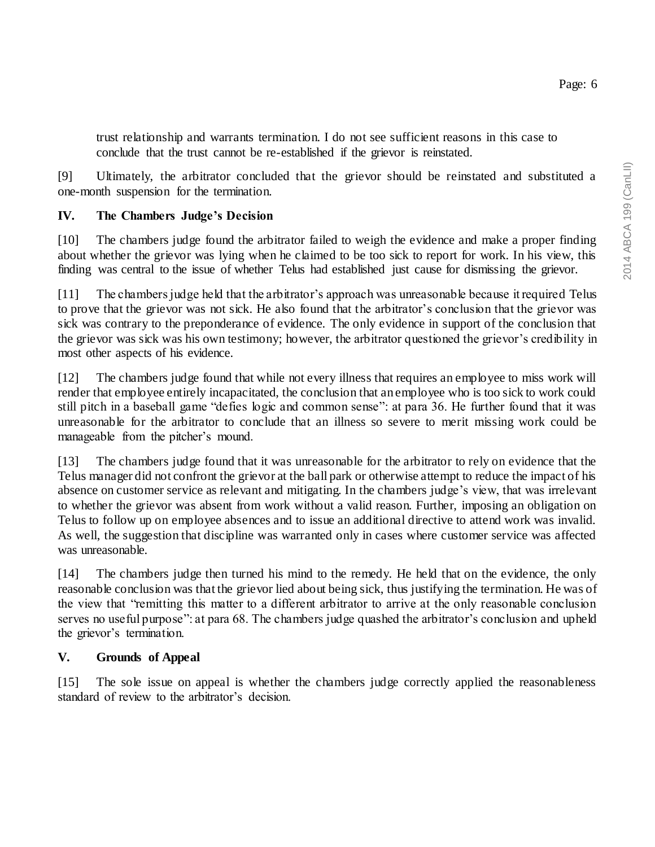trust relationship and warrants termination. I do not see sufficient reasons in this case to conclude that the trust cannot be re-established if the grievor is reinstated.

[9] Ultimately, the arbitrator concluded that the grievor should be reinstated and substituted a one-month suspension for the termination.

## **IV. The Chambers Judge's Decision**

[10] The chambers judge found the arbitrator failed to weigh the evidence and make a proper finding about whether the grievor was lying when he claimed to be too sick to report for work. In his view, this finding was central to the issue of whether Telus had established just cause for dismissing the grievor.

[11] The chambers judge held that the arbitrator's approach was unreasonable because it required Telus to prove that the grievor was not sick. He also found that the arbitrator's conclusion that the grievor was sick was contrary to the preponderance of evidence. The only evidence in support of the conclusion that the grievor was sick was his own testimony; however, the arbitrator questioned the grievor's credibility in most other aspects of his evidence.

[12] The chambers judge found that while not every illness that requires an employee to miss work will render that employee entirely incapacitated, the conclusion that an employee who is too sick to work could still pitch in a baseball game "defies logic and common sense": at para 36. He further found that it was unreasonable for the arbitrator to conclude that an illness so severe to merit missing work could be manageable from the pitcher's mound.

[13] The chambers judge found that it was unreasonable for the arbitrator to rely on evidence that the Telus manager did not confront the grievor at the ball park or otherwise attempt to reduce the impact of his absence on customer service as relevant and mitigating. In the chambers judge's view, that was irrelevant to whether the grievor was absent from work without a valid reason. Further, imposing an obligation on Telus to follow up on employee absences and to issue an additional directive to attend work was invalid. As well, the suggestion that discipline was warranted only in cases where customer service was affected was unreasonable.

[14] The chambers judge then turned his mind to the remedy. He held that on the evidence, the only reasonable conclusion was that the grievor lied about being sick, thus justifying the termination. He was of the view that "remitting this matter to a different arbitrator to arrive at the only reasonable conclusion serves no useful purpose": at para 68. The chambers judge quashed the arbitrator's conclusion and upheld the grievor's termination.

## **V. Grounds of Appeal**

[15] The sole issue on appeal is whether the chambers judge correctly applied the reasonableness standard of review to the arbitrator's decision.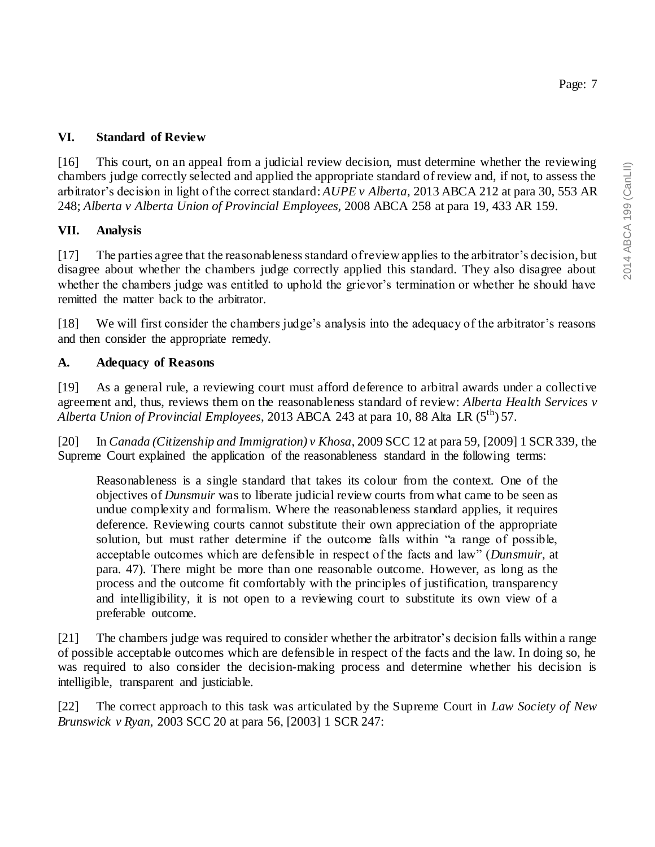2014 ABCA 199 (CanLII) 2014 ABCA 199 (CanLII)

Page: 7

## **VI. Standard of Review**

[16] This court, on an appeal from a judicial review decision, must determine whether the reviewing chambers judge correctly selected and applied the appropriate standard of review and, if not, to assess the arbitrator's decision in light of the correct standard: *AUPE v Alberta*, 2013 ABCA 212 at para 30, 553 AR 248; *Alberta v Alberta Union of Provincial Employees,* 2008 ABCA 258 at para 19, 433 AR 159.

# **VII. Analysis**

[17] The parties agree that the reasonableness standard of review applies to the arbitrator's decision, but disagree about whether the chambers judge correctly applied this standard. They also disagree about whether the chambers judge was entitled to uphold the grievor's termination or whether he should have remitted the matter back to the arbitrator.

[18] We will first consider the chambers judge's analysis into the adequacy of the arbitrator's reasons and then consider the appropriate remedy.

## **A. Adequacy of Reasons**

[19] As a general rule, a reviewing court must afford deference to arbitral awards under a collective agreement and, thus, reviews them on the reasonableness standard of review: *Alberta Health Services v Alberta Union of Provincial Employees*, 2013 ABCA 243 at para 10, 88 Alta LR (5th) 57.

[20] In *Canada (Citizenship and Immigration) v Khosa*, 2009 SCC 12 at para 59, [2009] 1 SCR 339, the Supreme Court explained the application of the reasonableness standard in the following terms:

Reasonableness is a single standard that takes its colour from the context. One of the objectives of *Dunsmuir* was to liberate judicial review courts from what came to be seen as undue complexity and formalism. Where the reasonableness standard applies, it requires deference. Reviewing courts cannot substitute their own appreciation of the appropriate solution, but must rather determine if the outcome falls within "a range of possible, acceptable outcomes which are defensible in respect of the facts and law" (*Dunsmuir*, at para. 47). There might be more than one reasonable outcome. However, as long as the process and the outcome fit comfortably with the principles of justification, transparency and intelligibility, it is not open to a reviewing court to substitute its own view of a preferable outcome.

[21] The chambers judge was required to consider whether the arbitrator's decision falls within a range of possible acceptable outcomes which are defensible in respect of the facts and the law. In doing so, he was required to also consider the decision-making process and determine whether his decision is intelligible, transparent and justiciable.

[22] The correct approach to this task was articulated by the Supreme Court in *Law Society of New Brunswick v Ryan*, 2003 SCC 20 at para 56, [2003] 1 SCR 247: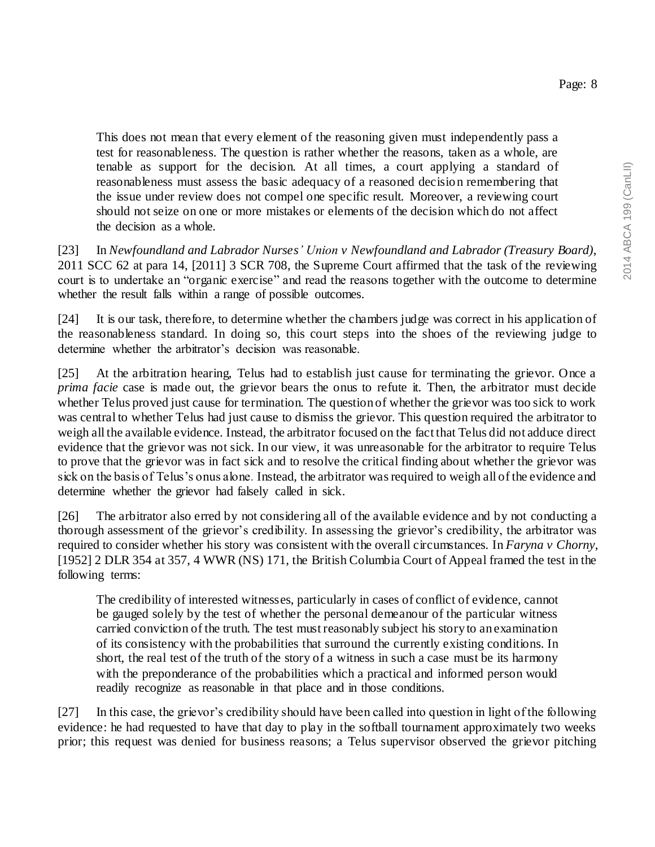This does not mean that every element of the reasoning given must independently pass a test for reasonableness. The question is rather whether the reasons, taken as a whole, are tenable as support for the decision. At all times, a court applying a standard of reasonableness must assess the basic adequacy of a reasoned decision remembering that the issue under review does not compel one specific result. Moreover, a reviewing court should not seize on one or more mistakes or elements of the decision which do not affect the decision as a whole.

[23] In *Newfoundland and Labrador Nurses' Union v Newfoundland and Labrador (Treasury Board)*, 2011 SCC 62 at para 14, [2011] 3 SCR 708, the Supreme Court affirmed that the task of the reviewing court is to undertake an "organic exercise" and read the reasons together with the outcome to determine whether the result falls within a range of possible outcomes.

[24] It is our task, therefore, to determine whether the chambers judge was correct in his application of the reasonableness standard. In doing so, this court steps into the shoes of the reviewing judge to determine whether the arbitrator's decision was reasonable.

[25] At the arbitration hearing, Telus had to establish just cause for terminating the grievor. Once a *prima facie* case is made out, the grievor bears the onus to refute it. Then, the arbitrator must decide whether Telus proved just cause for termination. The question of whether the grievor was too sick to work was central to whether Telus had just cause to dismiss the grievor. This question required the arbitrator to weigh all the available evidence. Instead, the arbitrator focused on the fact that Telus did not adduce direct evidence that the grievor was not sick. In our view, it was unreasonable for the arbitrator to require Telus to prove that the grievor was in fact sick and to resolve the critical finding about whether the grievor was sick on the basis of Telus's onus alone. Instead, the arbitrator was required to weigh all of the evidence and determine whether the grievor had falsely called in sick.

[26] The arbitrator also erred by not considering all of the available evidence and by not conducting a thorough assessment of the grievor's credibility. In assessing the grievor's credibility, the arbitrator was required to consider whether his story was consistent with the overall circumstances. In *Faryna v Chorny*, [1952] 2 DLR 354 at 357, 4 WWR (NS) 171, the British Columbia Court of Appeal framed the test in the following terms:

The credibility of interested witnesses, particularly in cases of conflict of evidence, cannot be gauged solely by the test of whether the personal demeanour of the particular witness carried conviction of the truth. The test must reasonably subject his story to an examination of its consistency with the probabilities that surround the currently existing conditions. In short, the real test of the truth of the story of a witness in such a case must be its harmony with the preponderance of the probabilities which a practical and informed person would readily recognize as reasonable in that place and in those conditions.

[27] In this case, the grievor's credibility should have been called into question in light of the following evidence: he had requested to have that day to play in the softball tournament approximately two weeks prior; this request was denied for business reasons; a Telus supervisor observed the grievor pitching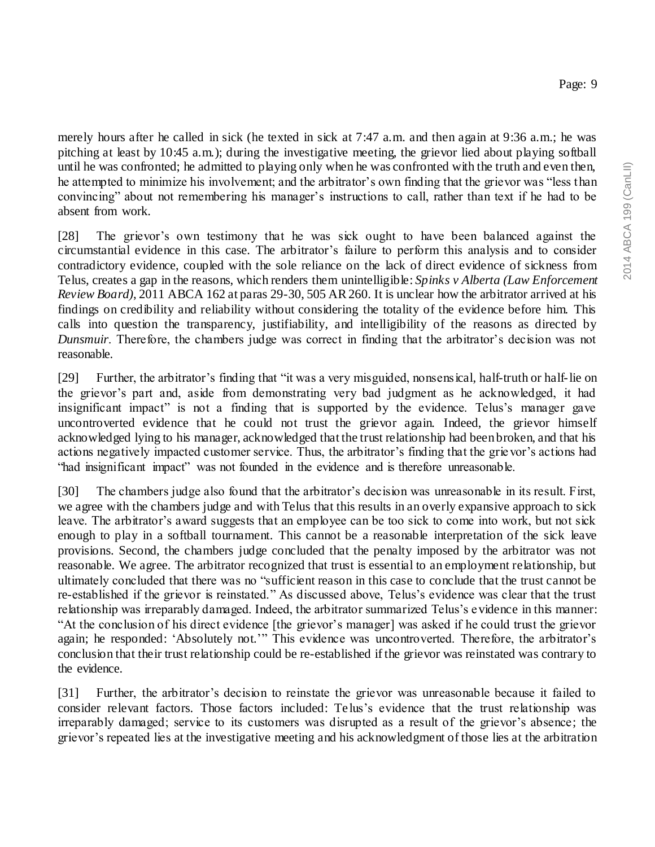merely hours after he called in sick (he texted in sick at 7:47 a.m. and then again at 9:36 a.m.; he was pitching at least by 10:45 a.m.); during the investigative meeting, the grievor lied about playing softball until he was confronted; he admitted to playing only when he was confronted with the truth and even then, he attempted to minimize his involvement; and the arbitrator's own finding that the grievor was "less than convincing" about not remembering his manager's instructions to call, rather than text if he had to be absent from work.

[28] The grievor's own testimony that he was sick ought to have been balanced against the circumstantial evidence in this case. The arbitrator's failure to perform this analysis and to consider contradictory evidence, coupled with the sole reliance on the lack of direct evidence of sickness from Telus, creates a gap in the reasons, which renders them unintelligible: *Spinks v Alberta (Law Enforcement Review Board)*, 2011 ABCA 162 at paras 29-30, 505 AR 260. It is unclear how the arbitrator arrived at his findings on credibility and reliability without considering the totality of the evidence before him. This calls into question the transparency, justifiability, and intelligibility of the reasons as directed by *Dunsmuir*. Therefore, the chambers judge was correct in finding that the arbitrator's decision was not reasonable.

[29] Further, the arbitrator's finding that "it was a very misguided, nonsensical, half-truth or half-lie on the grievor's part and, aside from demonstrating very bad judgment as he acknowledged, it had insignificant impact" is not a finding that is supported by the evidence. Telus's manager gave uncontroverted evidence that he could not trust the grievor again. Indeed, the grievor himself acknowledged lying to his manager, acknowledged that the trust relationship had been broken, and that his actions negatively impacted customer service. Thus, the arbitrator's finding that the grie vor's actions had "had insignificant impact" was not founded in the evidence and is therefore unreasonable.

[30] The chambers judge also found that the arbitrator's decision was unreasonable in its result. First, we agree with the chambers judge and with Telus that this results in an overly expansive approach to sick leave. The arbitrator's award suggests that an employee can be too sick to come into work, but not sick enough to play in a softball tournament. This cannot be a reasonable interpretation of the sick leave provisions. Second, the chambers judge concluded that the penalty imposed by the arbitrator was not reasonable. We agree. The arbitrator recognized that trust is essential to an employment relationship, but ultimately concluded that there was no "sufficient reason in this case to conclude that the trust cannot be re-established if the grievor is reinstated." As discussed above, Telus's evidence was clear that the trust relationship was irreparably damaged. Indeed, the arbitrator summarized Telus's evidence in this manner: "At the conclusion of his direct evidence [the grievor's manager] was asked if he could trust the grievor again; he responded: 'Absolutely not.'" This evidence was uncontroverted. Therefore, the arbitrator's conclusion that their trust relationship could be re-established if the grievor was reinstated was contrary to the evidence.

[31] Further, the arbitrator's decision to reinstate the grievor was unreasonable because it failed to consider relevant factors. Those factors included: Telus's evidence that the trust relationship was irreparably damaged; service to its customers was disrupted as a result of the grievor's absence; the grievor's repeated lies at the investigative meeting and his acknowledgment of those lies at the arbitration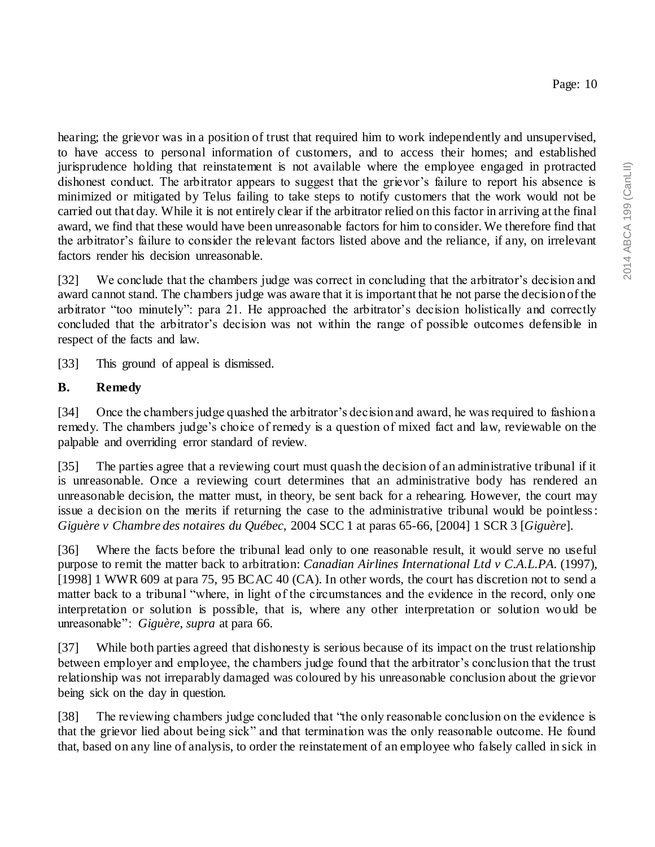hearing; the grievor was in a position of trust that required him to work independently and unsupervised, to have access to personal information of customers, and to access their homes; and established jurisprudence holding that reinstatement is not available where the employee engaged in protracted dishonest conduct. The arbitrator appears to suggest that the grievor's failure to report his absence is minimized or mitigated by Telus failing to take steps to notify customers that the work would not be carried out that day. While it is not entirely clear if the arbitrator relied on this factor in arriving at the final award, we find that these would have been unreasonable factors for him to consider. We therefore find that the arbitrator's failure to consider the relevant factors listed above and the reliance, if any, on irrelevant factors render his decision unreasonable.

[32] We conclude that the chambers judge was correct in concluding that the arbitrator's decision and award cannot stand. The chambers judge was aware that it is important that he not parse the decision of the arbitrator "too minutely": para 21. He approached the arbitrator's decision holistically and correctly concluded that the arbitrator's decision was not within the range of possible outcomes defensible in respect of the facts and law.

[33] This ground of appeal is dismissed.

## **B. Remedy**

[34] Once the chambers judge quashed the arbitrator's decision and award, he was required to fashion a remedy. The chambers judge's choice of remedy is a question of mixed fact and law, reviewable on the palpable and overriding error standard of review.

[35] The parties agree that a reviewing court must quash the decision of an administrative tribunal if it is unreasonable. Once a reviewing court determines that an administrative body has rendered an unreasonable decision, the matter must, in theory, be sent back for a rehearing. However, the court may issue a decision on the merits if returning the case to the administrative tribunal would be pointless: *Giguère v Chambre des notaires du Québec,* 2004 SCC 1 at paras 65-66, [2004] 1 SCR 3 [*Giguère*].

[36] Where the facts before the tribunal lead only to one reasonable result, it would serve no useful purpose to remit the matter back to arbitration: *Canadian Airlines International Ltd v C.A.L.PA.* (1997), [1998] 1 WWR 609 at para 75, 95 BCAC 40 (CA). In other words, the court has discretion not to send a matter back to a tribunal "where, in light of the circumstances and the evidence in the record, only one interpretation or solution is possible, that is, where any other interpretation or solution wo uld be unreasonable": *Giguère*, *supra* at para 66.

[37] While both parties agreed that dishonesty is serious because of its impact on the trust relationship between employer and employee, the chambers judge found that the arbitrator's conclusion that the trust relationship was not irreparably damaged was coloured by his unreasonable conclusion about the grievor being sick on the day in question.

[38] The reviewing chambers judge concluded that "the only reasonable conclusion on the evidence is that the grievor lied about being sick" and that termination was the only reasonable outcome. He found that, based on any line of analysis, to order the reinstatement of an employee who falsely called in sick in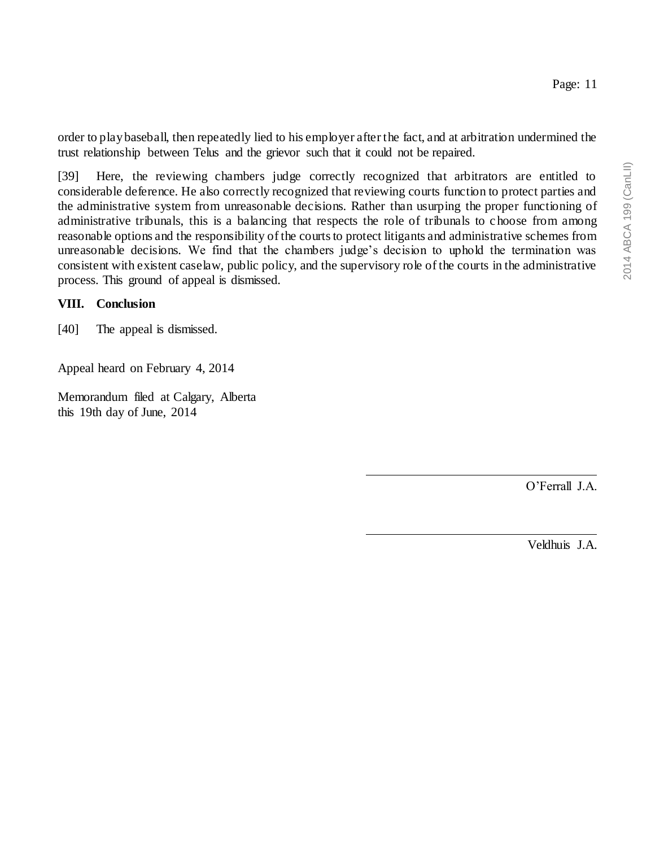order to play baseball, then repeatedly lied to his employer after the fact, and at arbitration undermined the trust relationship between Telus and the grievor such that it could not be repaired.

[39] Here, the reviewing chambers judge correctly recognized that arbitrators are entitled to considerable deference. He also correctly recognized that reviewing courts function to protect parties and the administrative system from unreasonable decisions. Rather than usurping the proper functioning of administrative tribunals, this is a balancing that respects the role of tribunals to c hoose from among reasonable options and the responsibility of the courts to protect litigants and administrative schemes from unreasonable decisions. We find that the chambers judge's decision to uphold the termination was consistent with existent caselaw, public policy, and the supervisory role of the courts in the administrative process. This ground of appeal is dismissed.

### **VIII. Conclusion**

[40] The appeal is dismissed.

Appeal heard on February 4, 2014

Memorandum filed at Calgary, Alberta this 19th day of June, 2014

O'Ferrall J.A.

Veldhuis J.A.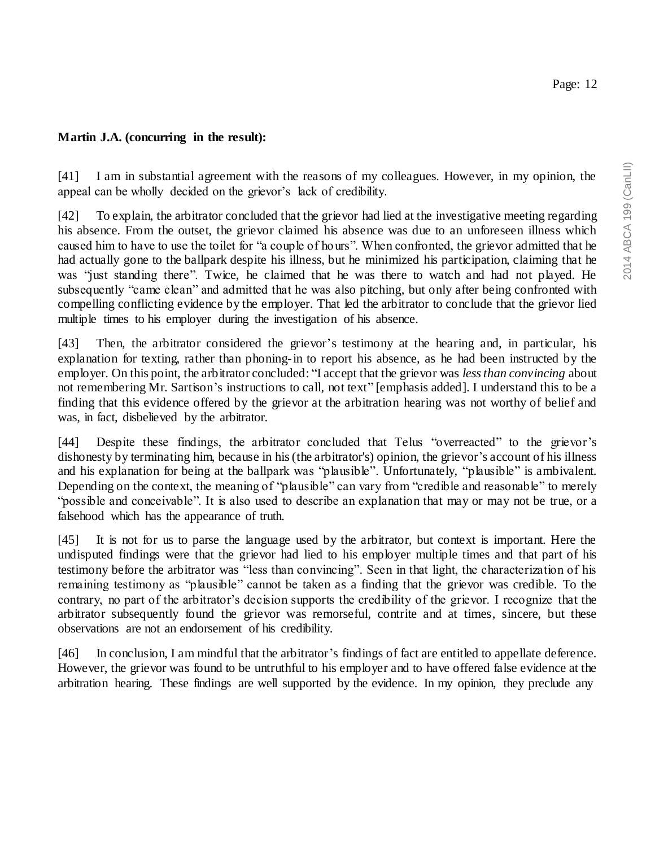[41] I am in substantial agreement with the reasons of my colleagues. However, in my opinion, the appeal can be wholly decided on the grievor's lack of credibility.

[42] To explain, the arbitrator concluded that the grievor had lied at the investigative meeting regarding his absence. From the outset, the grievor claimed his absence was due to an unforeseen illness which caused him to have to use the toilet for "a couple of hours". When confronted, the grievor admitted that he had actually gone to the ballpark despite his illness, but he minimized his participation, claiming that he was "just standing there". Twice, he claimed that he was there to watch and had not played. He subsequently "came clean" and admitted that he was also pitching, but only after being confronted with compelling conflicting evidence by the employer. That led the arbitrator to conclude that the grievor lied multiple times to his employer during the investigation of his absence.

[43] Then, the arbitrator considered the grievor's testimony at the hearing and, in particular, his explanation for texting, rather than phoning-in to report his absence, as he had been instructed by the employer. On this point, the arbitrator concluded: "I accept that the grievor was *less than convincing* about not remembering Mr. Sartison's instructions to call, not text" [emphasis added]. I understand this to be a finding that this evidence offered by the grievor at the arbitration hearing was not worthy of belief and was, in fact, disbelieved by the arbitrator.

[44] Despite these findings, the arbitrator concluded that Telus "overreacted" to the grievor's dishonesty by terminating him, because in his (the arbitrator's) opinion, the grievor's account of his illness and his explanation for being at the ballpark was "plausible". Unfortunately, "plausible" is ambivalent. Depending on the context, the meaning of "plausible" can vary from "credible and reasonable" to merely "possible and conceivable". It is also used to describe an explanation that may or may not be true, or a falsehood which has the appearance of truth.

[45] It is not for us to parse the language used by the arbitrator, but context is important. Here the undisputed findings were that the grievor had lied to his employer multiple times and that part of his testimony before the arbitrator was "less than convincing". Seen in that light, the characterization of his remaining testimony as "plausible" cannot be taken as a finding that the grievor was credible. To the contrary, no part of the arbitrator's decision supports the credibility of the grievor. I recognize that the arbitrator subsequently found the grievor was remorseful, contrite and at times, sincere, but these observations are not an endorsement of his credibility.

[46] In conclusion, I am mindful that the arbitrator's findings of fact are entitled to appellate deference. However, the grievor was found to be untruthful to his employer and to have offered false evidence at the arbitration hearing. These findings are well supported by the evidence. In my opinion, they preclude any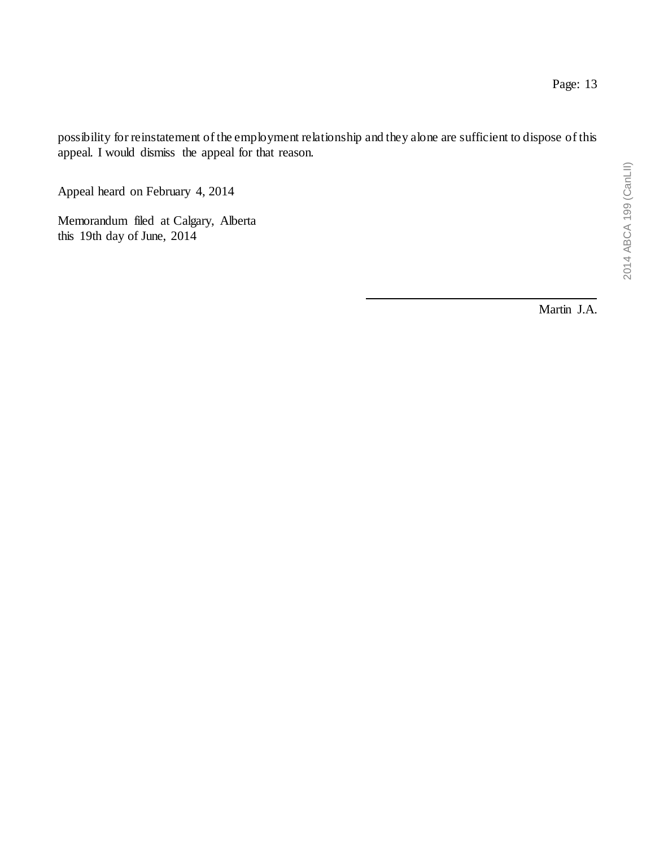possibility for reinstatement of the employment relationship and they alone are sufficient to dispose of this appeal. I would dismiss the appeal for that reason.

Appeal heard on February 4, 2014

Memorandum filed at Calgary, Alberta this 19th day of June, 2014

Martin J.A.